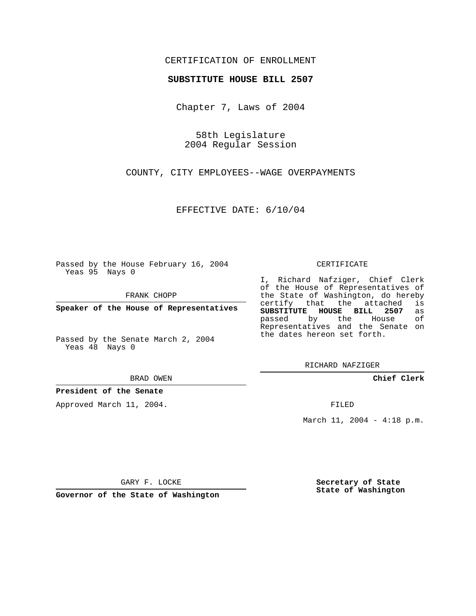## CERTIFICATION OF ENROLLMENT

#### **SUBSTITUTE HOUSE BILL 2507**

Chapter 7, Laws of 2004

58th Legislature 2004 Regular Session

COUNTY, CITY EMPLOYEES--WAGE OVERPAYMENTS

EFFECTIVE DATE: 6/10/04

Passed by the House February 16, 2004 Yeas 95 Nays 0

FRANK CHOPP

**Speaker of the House of Representatives**

Passed by the Senate March 2, 2004 Yeas 48 Nays 0

#### BRAD OWEN

### **President of the Senate**

Approved March 11, 2004.

#### CERTIFICATE

I, Richard Nafziger, Chief Clerk of the House of Representatives of the State of Washington, do hereby<br>certify that the attached is certify that the attached **SUBSTITUTE HOUSE BILL 2507** as passed by the House Representatives and the Senate on the dates hereon set forth.

RICHARD NAFZIGER

**Chief Clerk**

FILED

March 11, 2004 - 4:18 p.m.

GARY F. LOCKE

**Governor of the State of Washington**

**Secretary of State State of Washington**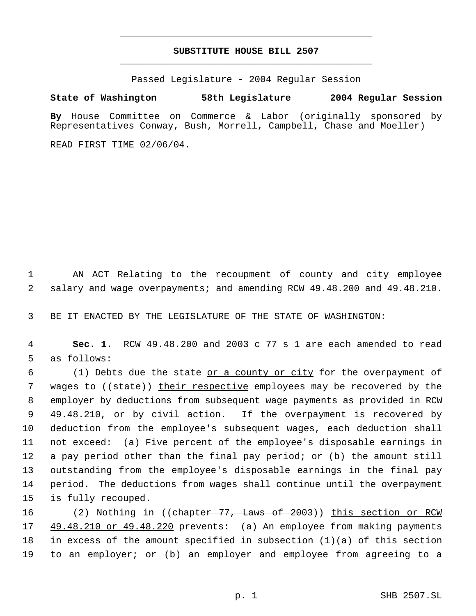# **SUBSTITUTE HOUSE BILL 2507** \_\_\_\_\_\_\_\_\_\_\_\_\_\_\_\_\_\_\_\_\_\_\_\_\_\_\_\_\_\_\_\_\_\_\_\_\_\_\_\_\_\_\_\_\_

\_\_\_\_\_\_\_\_\_\_\_\_\_\_\_\_\_\_\_\_\_\_\_\_\_\_\_\_\_\_\_\_\_\_\_\_\_\_\_\_\_\_\_\_\_

Passed Legislature - 2004 Regular Session

### **State of Washington 58th Legislature 2004 Regular Session**

**By** House Committee on Commerce & Labor (originally sponsored by Representatives Conway, Bush, Morrell, Campbell, Chase and Moeller)

READ FIRST TIME 02/06/04.

 AN ACT Relating to the recoupment of county and city employee salary and wage overpayments; and amending RCW 49.48.200 and 49.48.210.

BE IT ENACTED BY THE LEGISLATURE OF THE STATE OF WASHINGTON:

 **Sec. 1.** RCW 49.48.200 and 2003 c 77 s 1 are each amended to read as follows:

 (1) Debts due the state or a county or city for the overpayment of 7 wages to ((state)) their respective employees may be recovered by the employer by deductions from subsequent wage payments as provided in RCW 49.48.210, or by civil action. If the overpayment is recovered by deduction from the employee's subsequent wages, each deduction shall not exceed: (a) Five percent of the employee's disposable earnings in a pay period other than the final pay period; or (b) the amount still outstanding from the employee's disposable earnings in the final pay period. The deductions from wages shall continue until the overpayment is fully recouped.

16 (2) Nothing in ((chapter 77, Laws of 2003)) this section or RCW 49.48.210 or 49.48.220 prevents: (a) An employee from making payments in excess of the amount specified in subsection (1)(a) of this section to an employer; or (b) an employer and employee from agreeing to a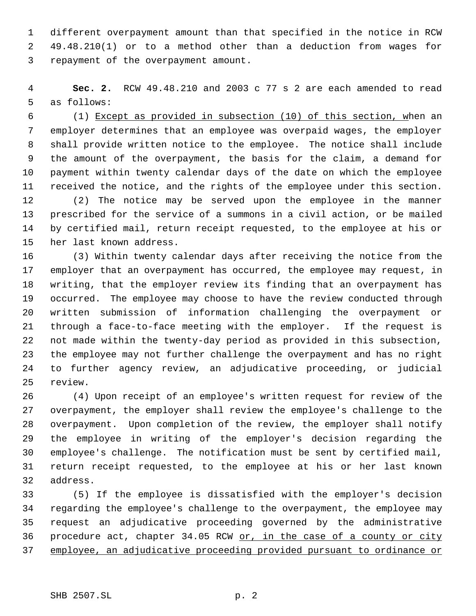different overpayment amount than that specified in the notice in RCW 49.48.210(1) or to a method other than a deduction from wages for repayment of the overpayment amount.

 **Sec. 2.** RCW 49.48.210 and 2003 c 77 s 2 are each amended to read as follows:

 (1) Except as provided in subsection (10) of this section, when an employer determines that an employee was overpaid wages, the employer shall provide written notice to the employee. The notice shall include the amount of the overpayment, the basis for the claim, a demand for payment within twenty calendar days of the date on which the employee received the notice, and the rights of the employee under this section.

 (2) The notice may be served upon the employee in the manner prescribed for the service of a summons in a civil action, or be mailed by certified mail, return receipt requested, to the employee at his or her last known address.

 (3) Within twenty calendar days after receiving the notice from the employer that an overpayment has occurred, the employee may request, in writing, that the employer review its finding that an overpayment has occurred. The employee may choose to have the review conducted through written submission of information challenging the overpayment or through a face-to-face meeting with the employer. If the request is not made within the twenty-day period as provided in this subsection, the employee may not further challenge the overpayment and has no right to further agency review, an adjudicative proceeding, or judicial review.

 (4) Upon receipt of an employee's written request for review of the overpayment, the employer shall review the employee's challenge to the overpayment. Upon completion of the review, the employer shall notify the employee in writing of the employer's decision regarding the employee's challenge. The notification must be sent by certified mail, return receipt requested, to the employee at his or her last known address.

 (5) If the employee is dissatisfied with the employer's decision regarding the employee's challenge to the overpayment, the employee may request an adjudicative proceeding governed by the administrative 36 procedure act, chapter 34.05 RCW or, in the case of a county or city employee, an adjudicative proceeding provided pursuant to ordinance or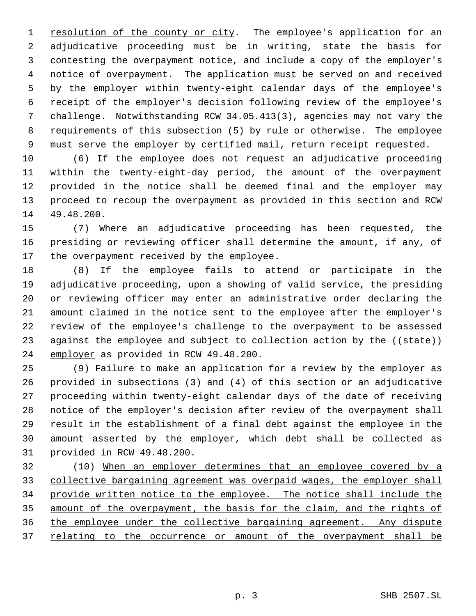1 resolution of the county or city. The employee's application for an adjudicative proceeding must be in writing, state the basis for contesting the overpayment notice, and include a copy of the employer's notice of overpayment. The application must be served on and received by the employer within twenty-eight calendar days of the employee's receipt of the employer's decision following review of the employee's challenge. Notwithstanding RCW 34.05.413(3), agencies may not vary the requirements of this subsection (5) by rule or otherwise. The employee must serve the employer by certified mail, return receipt requested.

 (6) If the employee does not request an adjudicative proceeding within the twenty-eight-day period, the amount of the overpayment provided in the notice shall be deemed final and the employer may proceed to recoup the overpayment as provided in this section and RCW 49.48.200.

 (7) Where an adjudicative proceeding has been requested, the presiding or reviewing officer shall determine the amount, if any, of the overpayment received by the employee.

 (8) If the employee fails to attend or participate in the adjudicative proceeding, upon a showing of valid service, the presiding or reviewing officer may enter an administrative order declaring the amount claimed in the notice sent to the employee after the employer's review of the employee's challenge to the overpayment to be assessed 23 against the employee and subject to collection action by the ((state)) employer as provided in RCW 49.48.200.

 (9) Failure to make an application for a review by the employer as provided in subsections (3) and (4) of this section or an adjudicative proceeding within twenty-eight calendar days of the date of receiving notice of the employer's decision after review of the overpayment shall result in the establishment of a final debt against the employee in the amount asserted by the employer, which debt shall be collected as provided in RCW 49.48.200.

 (10) When an employer determines that an employee covered by a collective bargaining agreement was overpaid wages, the employer shall provide written notice to the employee. The notice shall include the amount of the overpayment, the basis for the claim, and the rights of the employee under the collective bargaining agreement. Any dispute 37 relating to the occurrence or amount of the overpayment shall be